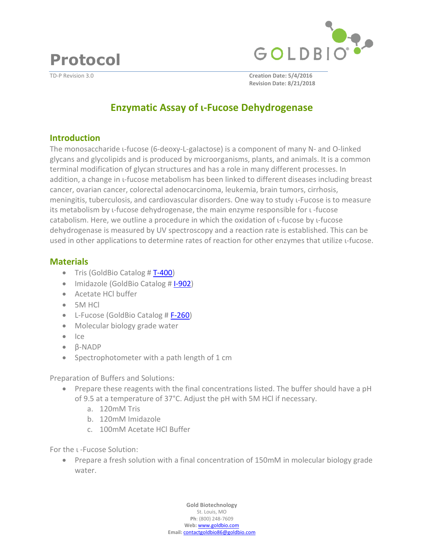

**Protocol** 

TD-P Revision 3.0 **Creation Date: 5/4/2016 Revision Date: 8/21/2018**

# **Enzymatic Assay of ι-Fucose Dehydrogenase**

#### **Introduction**

The monosaccharide ι-fucose (6-deoxy-L-galactose) is a component of many N- and O-linked glycans and glycolipids and is produced by microorganisms, plants, and animals. It is a common terminal modification of glycan structures and has a role in many different processes. In addition, a change in ι-fucose metabolism has been linked to different diseases including breast cancer, ovarian cancer, colorectal adenocarcinoma, leukemia, brain tumors, cirrhosis, meningitis, tuberculosis, and cardiovascular disorders. One way to study ι-Fucose is to measure its metabolism by ι-fucose dehydrogenase, the main enzyme responsible for ι -fucose catabolism. Here, we outline a procedure in which the oxidation of ι-fucose by ι-fucose dehydrogenase is measured by UV spectroscopy and a reaction rate is established. This can be used in other applications to determine rates of reaction for other enzymes that utilize ι-fucose.

### **Materials**

- $\bullet$  Tris (GoldBio Catalog #  $T-400$ )
- Imidazole (GoldBio Catalog # [I-902\)](https://www.goldbio.com/product/1100/imidazole-recrystallized)
- Acetate HCl buffer
- 5M HCl
- L-Fucose (GoldBio Catalog # [F-260\)](https://www.goldbio.com/product/1447/l-fucose)
- Molecular biology grade water
- $Ice$
- β-NADP
- Spectrophotometer with a path length of 1 cm

Preparation of Buffers and Solutions:

- Prepare these reagents with the final concentrations listed. The buffer should have a pH of 9.5 at a temperature of 37°C. Adjust the pH with 5M HCl if necessary.
	- a. 120mM Tris
	- b. 120mM Imidazole
	- c. 100mM Acetate HCl Buffer

For the ι -Fucose Solution:

• Prepare a fresh solution with a final concentration of 150mM in molecular biology grade water.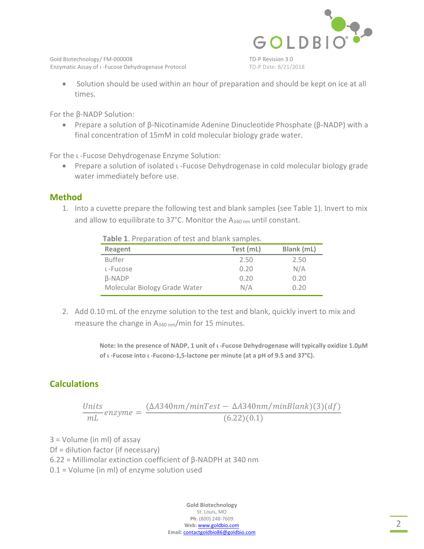

Gold Biotechnology/FM-000008 TD-P Revision 3.0 Enzymatic Assay of ι -Fucose Dehydrogenase Protocol TD-P Date: 8/21/2018

 Solution should be used within an hour of preparation and should be kept on ice at all times.

For the β-NADP Solution:

 Prepare a solution of β-Nicotinamide Adenine Dinucleotide Phosphate (β-NADP) with a final concentration of 15mM in cold molecular biology grade water.

For the ι -Fucose Dehydrogenase Enzyme Solution:

 Prepare a solution of isolated ι -Fucose Dehydrogenase in cold molecular biology grade water immediately before use.

#### **Method**

1. Into a cuvette prepare the following test and blank samples (see Table 1). Invert to mix and allow to equilibrate to 37°C. Monitor the A340 nm until constant.

| Table 1. Preparation of test and blank samples. |           |            |
|-------------------------------------------------|-----------|------------|
| Reagent                                         | Test (mL) | Blank (mL) |
| <b>Buffer</b>                                   | 2.50      | 2.50       |
| L-Fucose                                        | 0.20      | N/A        |
| <b>B-NADP</b>                                   | 0.20      | 0.20       |
| Molecular Biology Grade Water                   | N/A       | 0.20       |

2. Add 0.10 mL of the enzyme solution to the test and blank, quickly invert to mix and measure the change in  $A_{340 \text{ nm}}/$ min for 15 minutes.

> **Note: In the presence of NADP, 1 unit of ι -Fucose Dehydrogenase will typically oxidize 1.0µM of ι -Fucose into ι -Fucono-1,5-lactone per minute (at a pH of 9.5 and 37°C).**

## **Calculations**

$$
\frac{Units}{mL} \text{ enzyme} = \frac{(\Delta A 340 \text{nm/minTest} - \Delta A 340 \text{nm/minBlank})(3)(df)}{(6.22)(0.1)}
$$

3 = Volume (in ml) of assay

Df = dilution factor (if necessary)

6.22 = Millimolar extinction coefficient of β-NADPH at 340 nm

0.1 = Volume (in ml) of enzyme solution used